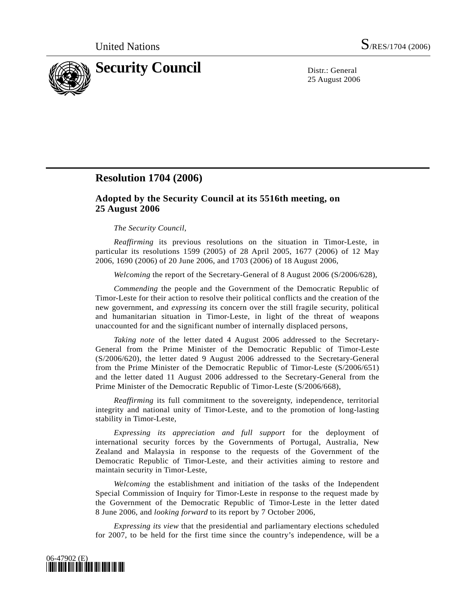

25 August 2006

## **Resolution 1704 (2006)**

## **Adopted by the Security Council at its 5516th meeting, on 25 August 2006**

## *The Security Council*,

*Reaffirming* its previous resolutions on the situation in Timor-Leste, in particular its resolutions 1599 (2005) of 28 April 2005, 1677 (2006) of 12 May 2006, 1690 (2006) of 20 June 2006, and 1703 (2006) of 18 August 2006,

*Welcoming* the report of the Secretary-General of 8 August 2006 (S/2006/628),

*Commending* the people and the Government of the Democratic Republic of Timor-Leste for their action to resolve their political conflicts and the creation of the new government, and *expressing* its concern over the still fragile security, political and humanitarian situation in Timor-Leste, in light of the threat of weapons unaccounted for and the significant number of internally displaced persons,

*Taking note* of the letter dated 4 August 2006 addressed to the Secretary-General from the Prime Minister of the Democratic Republic of Timor-Leste (S/2006/620), the letter dated 9 August 2006 addressed to the Secretary-General from the Prime Minister of the Democratic Republic of Timor-Leste (S/2006/651) and the letter dated 11 August 2006 addressed to the Secretary-General from the Prime Minister of the Democratic Republic of Timor-Leste (S/2006/668),

*Reaffirming* its full commitment to the sovereignty, independence, territorial integrity and national unity of Timor-Leste, and to the promotion of long-lasting stability in Timor-Leste,

*Expressing its appreciation and full support* for the deployment of international security forces by the Governments of Portugal, Australia, New Zealand and Malaysia in response to the requests of the Government of the Democratic Republic of Timor-Leste, and their activities aiming to restore and maintain security in Timor-Leste,

*Welcoming* the establishment and initiation of the tasks of the Independent Special Commission of Inquiry for Timor-Leste in response to the request made by the Government of the Democratic Republic of Timor-Leste in the letter dated 8 June 2006, and *looking forward* to its report by 7 October 2006,

*Expressing its view* that the presidential and parliamentary elections scheduled for 2007, to be held for the first time since the country's independence, will be a

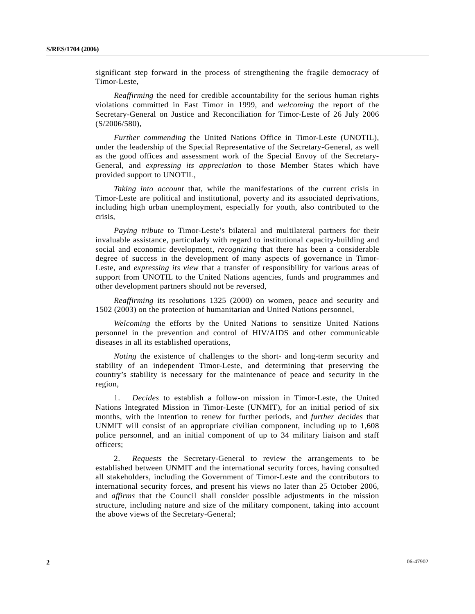significant step forward in the process of strengthening the fragile democracy of Timor-Leste,

*Reaffirming* the need for credible accountability for the serious human rights violations committed in East Timor in 1999, and *welcoming* the report of the Secretary-General on Justice and Reconciliation for Timor-Leste of 26 July 2006 (S/2006/580),

*Further commending* the United Nations Office in Timor-Leste (UNOTIL), under the leadership of the Special Representative of the Secretary-General, as well as the good offices and assessment work of the Special Envoy of the Secretary-General, and *expressing its appreciation* to those Member States which have provided support to UNOTIL,

*Taking into account* that, while the manifestations of the current crisis in Timor-Leste are political and institutional, poverty and its associated deprivations, including high urban unemployment, especially for youth, also contributed to the crisis,

*Paying tribute* to Timor-Leste's bilateral and multilateral partners for their invaluable assistance, particularly with regard to institutional capacity-building and social and economic development, *recognizing* that there has been a considerable degree of success in the development of many aspects of governance in Timor-Leste, and *expressing its view* that a transfer of responsibility for various areas of support from UNOTIL to the United Nations agencies, funds and programmes and other development partners should not be reversed,

*Reaffirming* its resolutions 1325 (2000) on women, peace and security and 1502 (2003) on the protection of humanitarian and United Nations personnel,

*Welcoming* the efforts by the United Nations to sensitize United Nations personnel in the prevention and control of HIV/AIDS and other communicable diseases in all its established operations,

*Noting* the existence of challenges to the short- and long-term security and stability of an independent Timor-Leste, and determining that preserving the country's stability is necessary for the maintenance of peace and security in the region,

 1. *Decides* to establish a follow-on mission in Timor-Leste, the United Nations Integrated Mission in Timor-Leste (UNMIT), for an initial period of six months, with the intention to renew for further periods, and *further decides* that UNMIT will consist of an appropriate civilian component, including up to 1,608 police personnel, and an initial component of up to 34 military liaison and staff officers;

 2. *Requests* the Secretary-General to review the arrangements to be established between UNMIT and the international security forces, having consulted all stakeholders, including the Government of Timor-Leste and the contributors to international security forces, and present his views no later than 25 October 2006, and *affirms* that the Council shall consider possible adjustments in the mission structure, including nature and size of the military component, taking into account the above views of the Secretary-General;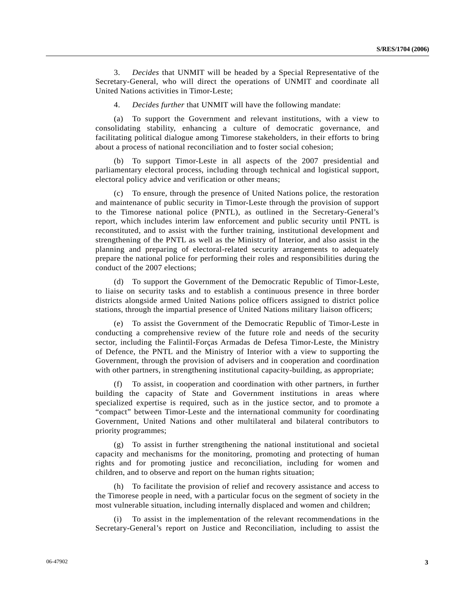3. *Decides* that UNMIT will be headed by a Special Representative of the Secretary-General, who will direct the operations of UNMIT and coordinate all United Nations activities in Timor-Leste;

4. *Decides further* that UNMIT will have the following mandate:

 (a) To support the Government and relevant institutions, with a view to consolidating stability, enhancing a culture of democratic governance, and facilitating political dialogue among Timorese stakeholders, in their efforts to bring about a process of national reconciliation and to foster social cohesion;

 (b) To support Timor-Leste in all aspects of the 2007 presidential and parliamentary electoral process, including through technical and logistical support, electoral policy advice and verification or other means;

 (c) To ensure, through the presence of United Nations police, the restoration and maintenance of public security in Timor-Leste through the provision of support to the Timorese national police (PNTL), as outlined in the Secretary-General's report, which includes interim law enforcement and public security until PNTL is reconstituted, and to assist with the further training, institutional development and strengthening of the PNTL as well as the Ministry of Interior, and also assist in the planning and preparing of electoral-related security arrangements to adequately prepare the national police for performing their roles and responsibilities during the conduct of the 2007 elections;

 (d) To support the Government of the Democratic Republic of Timor-Leste, to liaise on security tasks and to establish a continuous presence in three border districts alongside armed United Nations police officers assigned to district police stations, through the impartial presence of United Nations military liaison officers;

 (e) To assist the Government of the Democratic Republic of Timor-Leste in conducting a comprehensive review of the future role and needs of the security sector, including the Falintil-Forças Armadas de Defesa Timor-Leste, the Ministry of Defence, the PNTL and the Ministry of Interior with a view to supporting the Government, through the provision of advisers and in cooperation and coordination with other partners, in strengthening institutional capacity-building, as appropriate;

 (f) To assist, in cooperation and coordination with other partners, in further building the capacity of State and Government institutions in areas where specialized expertise is required, such as in the justice sector, and to promote a "compact" between Timor-Leste and the international community for coordinating Government, United Nations and other multilateral and bilateral contributors to priority programmes;

 (g) To assist in further strengthening the national institutional and societal capacity and mechanisms for the monitoring, promoting and protecting of human rights and for promoting justice and reconciliation, including for women and children, and to observe and report on the human rights situation;

 (h) To facilitate the provision of relief and recovery assistance and access to the Timorese people in need, with a particular focus on the segment of society in the most vulnerable situation, including internally displaced and women and children;

To assist in the implementation of the relevant recommendations in the Secretary-General's report on Justice and Reconciliation, including to assist the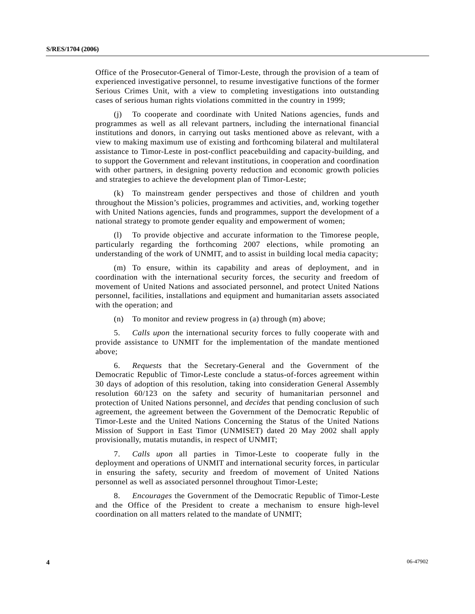Office of the Prosecutor-General of Timor-Leste, through the provision of a team of experienced investigative personnel, to resume investigative functions of the former Serious Crimes Unit, with a view to completing investigations into outstanding cases of serious human rights violations committed in the country in 1999;

 (j) To cooperate and coordinate with United Nations agencies, funds and programmes as well as all relevant partners, including the international financial institutions and donors, in carrying out tasks mentioned above as relevant, with a view to making maximum use of existing and forthcoming bilateral and multilateral assistance to Timor-Leste in post-conflict peacebuilding and capacity-building, and to support the Government and relevant institutions, in cooperation and coordination with other partners, in designing poverty reduction and economic growth policies and strategies to achieve the development plan of Timor-Leste;

 (k) To mainstream gender perspectives and those of children and youth throughout the Mission's policies, programmes and activities, and, working together with United Nations agencies, funds and programmes, support the development of a national strategy to promote gender equality and empowerment of women;

To provide objective and accurate information to the Timorese people, particularly regarding the forthcoming 2007 elections, while promoting an understanding of the work of UNMIT, and to assist in building local media capacity;

 (m) To ensure, within its capability and areas of deployment, and in coordination with the international security forces, the security and freedom of movement of United Nations and associated personnel, and protect United Nations personnel, facilities, installations and equipment and humanitarian assets associated with the operation; and

(n) To monitor and review progress in (a) through (m) above;

 5. *Calls upon* the international security forces to fully cooperate with and provide assistance to UNMIT for the implementation of the mandate mentioned above;

 6. *Requests* that the Secretary-General and the Government of the Democratic Republic of Timor-Leste conclude a status-of-forces agreement within 30 days of adoption of this resolution, taking into consideration General Assembly resolution 60/123 on the safety and security of humanitarian personnel and protection of United Nations personnel, and *decides* that pending conclusion of such agreement, the agreement between the Government of the Democratic Republic of Timor-Leste and the United Nations Concerning the Status of the United Nations Mission of Support in East Timor (UNMISET) dated 20 May 2002 shall apply provisionally, mutatis mutandis, in respect of UNMIT;

 7. *Calls upon* all parties in Timor-Leste to cooperate fully in the deployment and operations of UNMIT and international security forces, in particular in ensuring the safety, security and freedom of movement of United Nations personnel as well as associated personnel throughout Timor-Leste;

 8. *Encourages* the Government of the Democratic Republic of Timor-Leste and the Office of the President to create a mechanism to ensure high-level coordination on all matters related to the mandate of UNMIT;